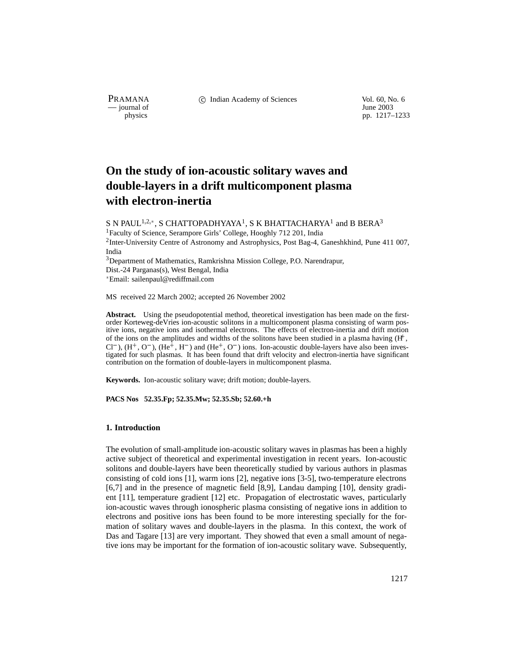$\frac{1}{\text{p}}$  journal of

PRAMANA 
<sup>c</sup> Indian Academy of Sciences Vol. 60, No. 6<br>
— journal of June 2003

pp. 1217–1233

# **On the study of ion-acoustic solitary waves and double-layers in a drift multicomponent plasma with electron-inertia**

S N PAUL $^{1,2,*}$ , S CHATTOPADHYAYA $^{1},\,$ S K BHATTACHARYA $^{1}$  and B BERA $^{3}$ 1Faculty of Science, Serampore Girls' College, Hooghly 712 201, India 2Inter-University Centre of Astronomy and Astrophysics, Post Bag-4, Ganeshkhind, Pune 411 007, India <sup>3</sup>Department of Mathematics, Ramkrishna Mission College, P.O. Narendrapur, Dist.-24 Parganas(s), West Bengal, India Email: sailenpaul@rediffmail.com

MS received 22 March 2002; accepted 26 November 2002

**Abstract.** Using the pseudopotential method, theoretical investigation has been made on the firstorder Korteweg-deVries ion-acoustic solitons in a multicomponent plasma consisting of warm positive ions, negative ions and isothermal electrons. The effects of electron-inertia and drift motion of the ions on the amplitudes and widths of the solitons have been studied in a plasma having  $(H<sup>+</sup>,$  $Cl^{-}$ ),  $(H^{+}, O^{-})$ ,  $(He^{+}, H^{-})$  and  $(He^{+}, O^{-})$  ions. Ion-acoustic double-layers have also been investigated for such plasmas. It has been found that drift velocity and electron-inertia have significant contribution on the formation of double-layers in multicomponent plasma.

**Keywords.** Ion-acoustic solitary wave; drift motion; double-layers.

**PACS Nos 52.35.Fp; 52.35.Mw; 52.35.Sb; 52.60.+h**

#### **1. Introduction**

The evolution of small-amplitude ion-acoustic solitary waves in plasmas has been a highly active subject of theoretical and experimental investigation in recent years. Ion-acoustic solitons and double-layers have been theoretically studied by various authors in plasmas consisting of cold ions [1], warm ions [2], negative ions [3-5], two-temperature electrons [6,7] and in the presence of magnetic field [8,9], Landau damping [10], density gradient [11], temperature gradient [12] etc. Propagation of electrostatic waves, particularly ion-acoustic waves through ionospheric plasma consisting of negative ions in addition to electrons and positive ions has been found to be more interesting specially for the formation of solitary waves and double-layers in the plasma. In this context, the work of Das and Tagare [13] are very important. They showed that even a small amount of negative ions may be important for the formation of ion-acoustic solitary wave. Subsequently,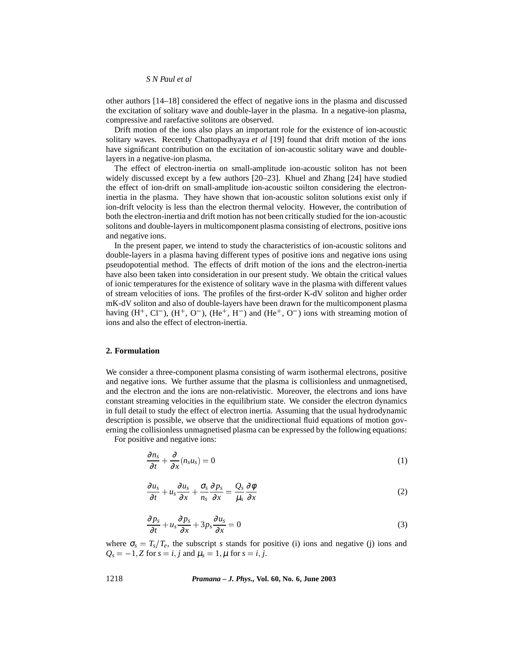other authors [14–18] considered the effect of negative ions in the plasma and discussed the excitation of solitary wave and double-layer in the plasma. In a negative-ion plasma, compressive and rarefactive solitons are observed.

Drift motion of the ions also plays an important role for the existence of ion-acoustic solitary waves. Recently Chattopadhyaya *et al* [19] found that drift motion of the ions have significant contribution on the excitation of ion-acoustic solitary wave and doublelayers in a negative-ion plasma.

The effect of electron-inertia on small-amplitude ion-acoustic soliton has not been widely discussed except by a few authors [20–23]. Khuel and Zhang [24] have studied the effect of ion-drift on small-amplitude ion-acoustic soilton considering the electroninertia in the plasma. They have shown that ion-acoustic soliton solutions exist only if ion-drift velocity is less than the electron thermal velocity. However, the contribution of both the electron-inertia and drift motion has not been critically studied for the ion-acoustic solitons and double-layers in multicomponent plasma consisting of electrons, positive ions and negative ions.

In the present paper, we intend to study the characteristics of ion-acoustic solitons and double-layers in a plasma having different types of positive ions and negative ions using pseudopotential method. The effects of drift motion of the ions and the electron-inertia have also been taken into consideration in our present study. We obtain the critical values of ionic temperatures for the existence of solitary wave in the plasma with different values of stream velocities of ions. The profiles of the first-order K-dV soliton and higher order mK-dV soliton and also of double-layers have been drawn for the multicomponent plasma having (H<sup>+</sup>, Cl<sup>-</sup>), (H<sup>+</sup>, O<sup>-</sup>), (He<sup>+</sup>, H<sup>-</sup>) and (He<sup>+</sup>, O<sup>-</sup>) ions with streaming motion of ions and also the effect of electron-inertia.

#### **2. Formulation**

We consider a three-component plasma consisting of warm isothermal electrons, positive and negative ions. We further assume that the plasma is collisionless and unmagnetised, and the electron and the ions are non-relativistic. Moreover, the electrons and ions have constant streaming velocities in the equilibrium state. We consider the electron dynamics in full detail to study the effect of electron inertia. Assuming that the usual hydrodynamic description is possible, we observe that the unidirectional fluid equations of motion governing the collisionless unmagnetised plasma can be expressed by the following equations:

For positive and negative ions:

$$
\frac{\partial n_s}{\partial t} + \frac{\partial}{\partial x}(n_s u_s) = 0 \tag{1}
$$

$$
\frac{\partial u_s}{\partial t} + u_s \frac{\partial u_s}{\partial x} + \frac{\sigma_s}{n_s} \frac{\partial p_s}{\partial x} = \frac{Q_s}{\mu_s} \frac{\partial \phi}{\partial x}
$$
(2)

$$
\frac{\partial p_s}{\partial t} + u_s \frac{\partial p_s}{\partial x} + 3 p_s \frac{\partial u_s}{\partial x} = 0
$$
\n(3)

where  $\sigma_s = T_s/T_e$ , the subscript *s* stands for positive (i) ions and negative (j) ions and  $Q_s = -1$ , *Z* for  $s = i$ , *j* and  $\mu_s = 1$ ,  $\mu$  for  $s = i$ , *j*.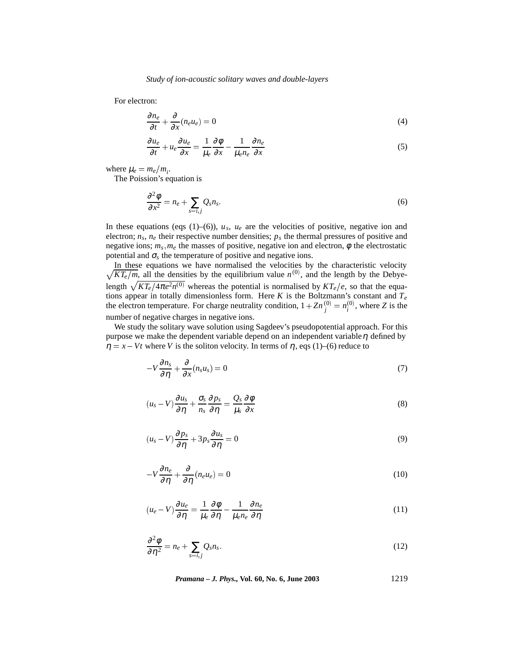For electron:

$$
\frac{\partial n_e}{\partial t} + \frac{\partial}{\partial x}(n_e u_e) = 0 \tag{4}
$$

$$
\frac{\partial u_e}{\partial t} + u_e \frac{\partial u_e}{\partial x} = \frac{1}{\mu_e} \frac{\partial \phi}{\partial x} - \frac{1}{\mu_e n_e} \frac{\partial n_e}{\partial x}
$$
(5)

where  $\mu_e = m_e/m_i$ .

The Poission's equation is

$$
\frac{\partial^2 \phi}{\partial x^2} = n_e + \sum_{s=i,j} Q_s n_s. \tag{6}
$$

In these equations (eqs  $(1)$ – $(6)$ ),  $u_s$ ,  $u_e$  are the velocities of positive, negative ion and electron;  $n_s$ ,  $n_e$  their respective number densities;  $p_s$  the thermal pressures of positive and negative ions;  $m_s$ ,  $m_e$  the masses of positive, negative ion and electron,  $\phi$  the electrostatic potential and  $\sigma_s$  the temperature of positive and negative ions.

 $\sqrt{KT_e/m}$ , all the densities by the equilibrium value  $n^{(0)}$ , and the length by the Debye-In these equations we have normalised the velocities by the characteristic velocity length  $\sqrt{KT_e/4\pi e^2n^{(0)}}$  whereas the potential is normalised by  $KT_e/e$ , so that the equations appear in totally dimensionless form. Here  $K$  is the Boltzmann's constant and  $T_e$ the electron temperature. For charge neutrality condition,  $1 + Zn_j^{(0)} = n_i^{(0)}$ , where *Z* is the number of negative charges in negative ions.

We study the solitary wave solution using Sagdeev's pseudopotential approach. For this purpose we make the dependent variable depend on an independent variable  $\eta$  defined by  $\eta = x - Vt$  where *V* is the soliton velocity. In terms of  $\eta$ , eqs (1)–(6) reduce to

$$
-V\frac{\partial n_s}{\partial \eta} + \frac{\partial}{\partial x}(n_s u_s) = 0
$$
\n(7)

$$
(u_s - V)\frac{\partial u_s}{\partial \eta} + \frac{\sigma_s}{n_s} \frac{\partial p_s}{\partial \eta} = \frac{Q_s}{\mu_s} \frac{\partial \phi}{\partial x}
$$
(8)

$$
(u_s - V)\frac{\partial p_s}{\partial \eta} + 3p_s \frac{\partial u_s}{\partial \eta} = 0
$$
\n(9)

$$
-V\frac{\partial n_e}{\partial \eta} + \frac{\partial}{\partial \eta} (n_e u_e) = 0
$$
\n(10)

$$
(u_e - V)\frac{\partial u_e}{\partial \eta} = \frac{1}{\mu_e} \frac{\partial \phi}{\partial \eta} - \frac{1}{\mu_e n_e} \frac{\partial n_e}{\partial \eta}
$$
(11)

$$
\frac{\partial^2 \phi}{\partial \eta^2} = n_e + \sum_{s=i,j} Q_s n_s. \tag{12}
$$

*Pramana – J. Phys.,* **Vol. 60, No. 6, June 2003** 1219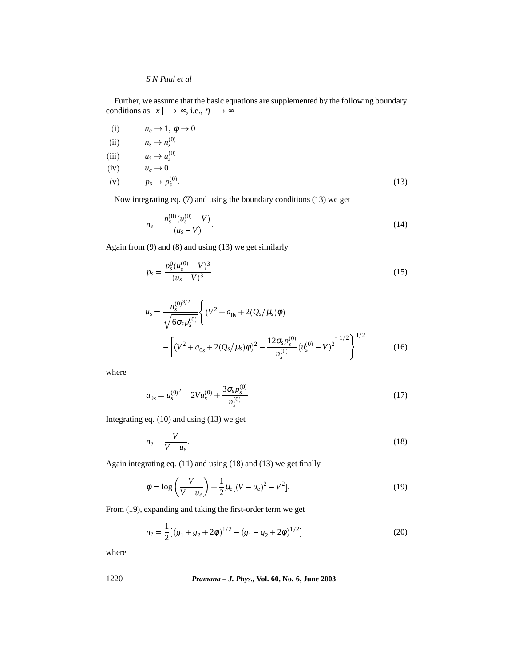Further, we assume that the basic equations are supplemented by the following boundary conditions as  $|x| \rightarrow \infty$ , i.e.,  $\eta \rightarrow \infty$ 

(i) 
$$
n_e \rightarrow 1, \phi \rightarrow 0
$$
  
\n(ii)  $n_s \rightarrow n_s^{(0)}$   
\n(iii)  $u_s \rightarrow u_s^{(0)}$   
\n(iv)  $u_e \rightarrow 0$   
\n(v)  $p_s \rightarrow p_s^{(0)}$ . (13)

Now integrating eq. (7) and using the boundary conditions (13) we get

$$
n_s = \frac{n_s^{(0)}(u_s^{(0)} - V)}{(u_s - V)}.\tag{14}
$$

Again from (9) and (8) and using (13) we get similarly

$$
p_s = \frac{p_s^0 (u_s^{(0)} - V)^3}{(u_s - V)^3}
$$
\n(15)

$$
u_s = \frac{n_s^{(0)^{3/2}}}{\sqrt{6\sigma_s p_s^{(0)}}} \left\{ (V^2 + a_{0s} + 2(Q_s/\mu_s)\phi) - \left[ (V^2 + a_{0s} + 2(Q_s/\mu_s)\phi)^2 - \frac{12\sigma_s p_s^{(0)}}{n_s^{(0)}}(u_s^{(0)} - V)^2 \right]^{1/2} \right\}^{1/2}
$$
(16)

where

$$
a_{0s} = u_s^{(0)^2} - 2Vu_s^{(0)} + \frac{3\sigma_s p_s^{(0)}}{n_s^{(0)}}.
$$
\n(17)

Integrating eq. (10) and using (13) we get

$$
n_e = \frac{V}{V - u_e}.\tag{18}
$$

Again integrating eq. (11) and using (18) and (13) we get finally

$$
\phi = \log\left(\frac{V}{V - u_e}\right) + \frac{1}{2}\mu_e[(V - u_e)^2 - V^2].
$$
\n(19)

From (19), expanding and taking the first-order term we get

$$
n_e = \frac{1}{2} [(g_1 + g_2 + 2\phi)^{1/2} - (g_1 - g_2 + 2\phi)^{1/2}]
$$
\n(20)

where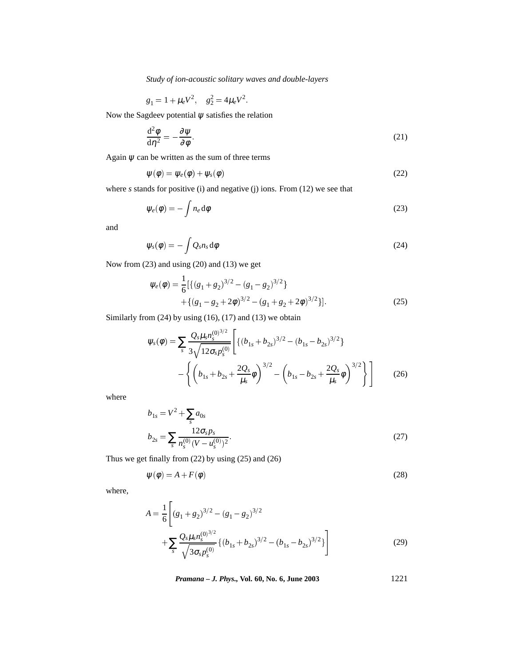$$
g_1 = 1 + \mu_e V^2
$$
,  $g_2^2 = 4\mu_e V^2$ .

Now the Sagdeev potential  $\psi$  satisfies the relation

$$
\frac{\mathrm{d}^2 \phi}{\mathrm{d} \eta^2} = -\frac{\partial \psi}{\partial \phi}.\tag{21}
$$

Again  $\psi$  can be written as the sum of three terms

$$
\psi(\phi) = \psi_e(\phi) + \psi_s(\phi) \tag{22}
$$

where *s* stands for positive (i) and negative (j) ions. From (12) we see that

$$
\psi_e(\phi) = -\int n_e \, d\phi \tag{23}
$$

and

$$
\psi_s(\phi) = -\int Q_s n_s \, d\phi \tag{24}
$$

Now from (23) and using (20) and (13) we get

$$
\Psi_e(\phi) = \frac{1}{6} \left[ \{ (g_1 + g_2)^{3/2} - (g_1 - g_2)^{3/2} \} + \{ (g_1 - g_2 + 2\phi)^{3/2} - (g_1 + g_2 + 2\phi)^{3/2} \} \right].
$$
\n(25)

Similarly from  $(24)$  by using  $(16)$ ,  $(17)$  and  $(13)$  we obtain

$$
\Psi_s(\phi) = \sum_s \frac{Q_s \mu_s n_s^{(0)^{3/2}}}{3 \sqrt{12 \sigma_s p_s^{(0)}}} \left[ \{ (b_{1s} + b_{2s})^{3/2} - (b_{1s} - b_{2s})^{3/2} \} - \left\{ \left( b_{1s} + b_{2s} + \frac{2Q_s}{\mu_s} \phi \right)^{3/2} - \left( b_{1s} - b_{2s} + \frac{2Q_s}{\mu_s} \phi \right)^{3/2} \right\} \right]
$$
(26)

where

$$
b_{1s} = V^2 + \sum_{s} a_{0s}
$$
  
\n
$$
b_{2s} = \sum_{s} \frac{12\sigma_s p_s}{n_s^{(0)}(V - u_s^{(0)})^2}.
$$
\n(27)

Thus we get finally from (22) by using (25) and (26)

$$
\psi(\phi) = A + F(\phi) \tag{28}
$$

where,

$$
A = \frac{1}{6} \left[ (g_1 + g_2)^{3/2} - (g_1 - g_2)^{3/2} + \sum_{s} \frac{Q_s \mu_s n_s^{(0)^{3/2}}}{\sqrt{3 \sigma_s p_s^{(0)}}} \{ (b_{1s} + b_{2s})^{3/2} - (b_{1s} - b_{2s})^{3/2} \} \right]
$$
(29)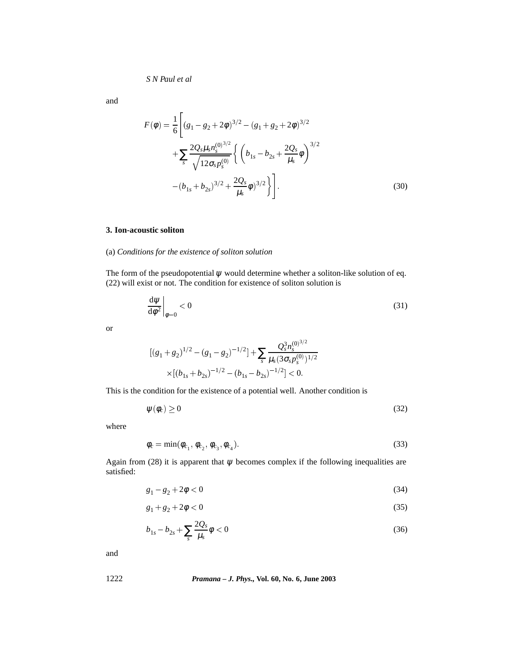and

$$
F(\phi) = \frac{1}{6} \left[ (g_1 - g_2 + 2\phi)^{3/2} - (g_1 + g_2 + 2\phi)^{3/2} + \sum_{s} \frac{2Q_s\mu_s n_s^{(0)^{3/2}}}{\sqrt{12\sigma_s p_s^{(0)}}} \left\{ \left( b_{1s} - b_{2s} + \frac{2Q_s}{\mu_s} \phi \right)^{3/2} - (b_{1s} + b_{2s})^{3/2} + \frac{2Q_s}{\mu_s} \phi \right)^{3/2} \right\} \right].
$$
\n(30)

#### **3. Ion-acoustic soliton**

## (a) *Conditions for the existence of soliton solution*

The form of the pseudopotential  $\psi$  would determine whether a soliton-like solution of eq. (22) will exist or not. The condition for existence of soliton solution is

$$
\left. \frac{\mathrm{d}\psi}{\mathrm{d}\phi^2} \right|_{\phi=0} < 0 \tag{31}
$$

or

$$
[(g_1 + g_2)^{1/2} - (g_1 - g_2)^{-1/2}] + \sum_s \frac{Q_s^3 n_s^{(0)^{3/2}}}{\mu_s (3\sigma_s p_s^{(0)})^{1/2}} \times [(b_{1s} + b_{2s})^{-1/2} - (b_{1s} - b_{2s})^{-1/2}] < 0.
$$

This is the condition for the existence of a potential well. Another condition is

$$
\psi(\phi_c) \ge 0 \tag{32}
$$

where

$$
\phi_c = \min(\phi_{c_1}, \phi_{c_2}, \phi_{c_3}, \phi_{c_4}).
$$
\n(33)

Again from (28) it is apparent that  $\psi$  becomes complex if the following inequalities are satisfied:

$$
g_1 - g_2 + 2\phi < 0 \tag{34}
$$

$$
g_1 + g_2 + 2\phi < 0 \tag{35}
$$

$$
b_{1s} - b_{2s} + \sum_{s} \frac{2Q_s}{\mu_s} \phi < 0 \tag{36}
$$

and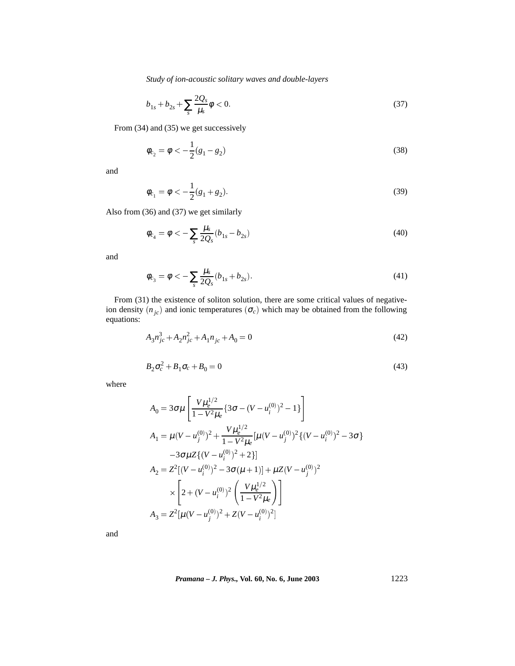$$
b_{1s} + b_{2s} + \sum_{s} \frac{2Q_s}{\mu_s} \phi < 0. \tag{37}
$$

From (34) and (35) we get successively

$$
\phi_{c_2} = \phi < -\frac{1}{2}(g_1 - g_2) \tag{38}
$$

and

$$
\phi_{c_1} = \phi < -\frac{1}{2}(g_1 + g_2). \tag{39}
$$

Also from (36) and (37) we get similarly

$$
\phi_{c_4} = \phi < -\sum_{s} \frac{\mu_s}{2Q_s} (b_{1s} - b_{2s}) \tag{40}
$$

and

$$
\phi_{c_3} = \phi < -\sum_{s} \frac{\mu_s}{2Q_s} (b_{1s} + b_{2s}).\tag{41}
$$

From (31) the existence of soliton solution, there are some critical values of negativeion density  $(n_{ic})$  and ionic temperatures  $(\sigma_c)$  which may be obtained from the following equations:

$$
A_3 n_{jc}^3 + A_2 n_{jc}^2 + A_1 n_{jc} + A_0 = 0
$$
\n(42)

$$
B_2 \sigma_c^2 + B_1 \sigma_c + B_0 = 0 \tag{43}
$$

where

$$
A_0 = 3\sigma\mu \left[ \frac{V\mu_e^{1/2}}{1 - V^2\mu_e} \{ 3\sigma - (V - u_i^{(0)})^2 - 1 \} \right]
$$
  
\n
$$
A_1 = \mu (V - u_j^{(0)})^2 + \frac{V\mu_e^{1/2}}{1 - V^2\mu_e} [\mu (V - u_j^{(0)})^2 \{ (V - u_i^{(0)})^2 - 3\sigma \}
$$
  
\n
$$
-3\sigma\mu Z \{ (V - u_i^{(0)})^2 + 2 \} ]
$$
  
\n
$$
A_2 = Z^2 [(V - u_i^{(0)})^2 - 3\sigma(\mu + 1)] + \mu Z (V - u_j^{(0)})^2
$$
  
\n
$$
\times \left[ 2 + (V - u_i^{(0)})^2 \left( \frac{V\mu_e^{1/2}}{1 - V^2\mu_e} \right) \right]
$$
  
\n
$$
A_3 = Z^2 [\mu (V - u_j^{(0)})^2 + Z(V - u_i^{(0)})^2]
$$

and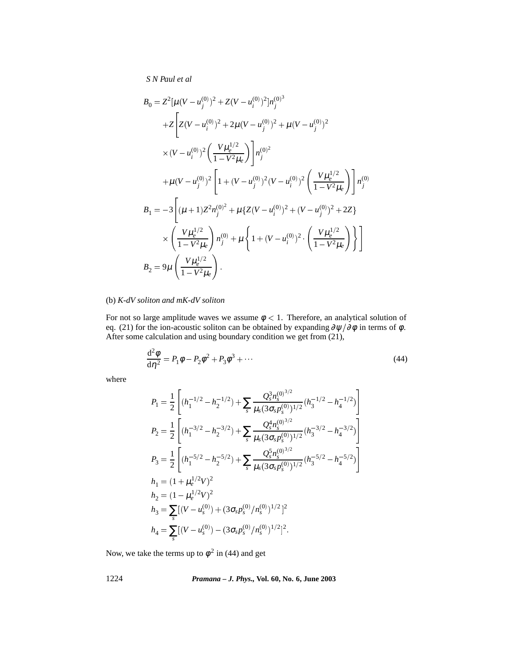$$
B_0 = Z^2 \left[ \mu (V - u_j^{(0)})^2 + Z(V - u_i^{(0)})^2 \right] n_j^{(0)^3}
$$
  
+
$$
Z \left[ Z(V - u_i^{(0)})^2 + 2\mu (V - u_j^{(0)})^2 + \mu (V - u_j^{(0)})^2 \right]
$$
  

$$
\times (V - u_i^{(0)})^2 \left( \frac{V \mu_e^{1/2}}{1 - V^2 \mu_e} \right) n_j^{(0)^2}
$$
  
+
$$
\mu (V - u_j^{(0)})^2 \left[ 1 + (V - u_j^{(0)})^2 (V - u_i^{(0)})^2 \left( \frac{V \mu_e^{1/2}}{1 - V^2 \mu_e} \right) n_j^{(0)}
$$
  

$$
B_1 = -3 \left[ (\mu + 1) Z^2 n_j^{(0)^2} + \mu \{ Z(V - u_i^{(0)})^2 + (V - u_j^{(0)})^2 + 2Z \} \right]
$$
  

$$
\times \left( \frac{V \mu_e^{1/2}}{1 - V^2 \mu_e} \right) n_j^{(0)} + \mu \left\{ 1 + (V - u_i^{(0)})^2 \cdot \left( \frac{V \mu_e^{1/2}}{1 - V^2 \mu_e} \right) \right\}
$$
  

$$
B_2 = 9 \mu \left( \frac{V \mu_e^{1/2}}{1 - V^2 \mu_e} \right).
$$

## (b) *K-dV soliton and mK-dV soliton*

For not so large amplitude waves we assume  $\phi$  < 1. Therefore, an analytical solution of eq. (21) for the ion-acoustic soliton can be obtained by expanding  $\frac{\partial \psi}{\partial \phi}$  in terms of  $\phi$ . After some calculation and using boundary condition we get from (21),

$$
\frac{\mathrm{d}^2 \phi}{\mathrm{d}\eta^2} = P_1 \phi - P_2 \phi^2 + P_3 \phi^3 + \cdots \tag{44}
$$

where

$$
P_1 = \frac{1}{2} \left[ (h_1^{-1/2} - h_2^{-1/2}) + \sum_s \frac{Q_s^3 n_s^{(0)^{3/2}}}{\mu_s (3 \sigma_s p_s^{(0)})^{1/2}} (h_3^{-1/2} - h_4^{-1/2}) \right]
$$
  
\n
$$
P_2 = \frac{1}{2} \left[ (h_1^{-3/2} - h_2^{-3/2}) + \sum_s \frac{Q_s^4 n_s^{(0)^{3/2}}}{\mu_s (3 \sigma_s p_s^{(0)})^{1/2}} (h_3^{-3/2} - h_4^{-3/2}) \right]
$$
  
\n
$$
P_3 = \frac{1}{2} \left[ (h_1^{-5/2} - h_2^{-5/2}) + \sum_s \frac{Q_s^5 n_s^{(0)^{3/2}}}{\mu_s (3 \sigma_s p_s^{(0)})^{1/2}} (h_3^{-5/2} - h_4^{-5/2}) \right]
$$
  
\n
$$
h_1 = (1 + \mu_e^{1/2} V)^2
$$
  
\n
$$
h_2 = (1 - \mu_e^{1/2} V)^2
$$
  
\n
$$
h_3 = \sum_s [(V - u_s^{(0)}) + (3 \sigma_s p_s^{(0)}/n_s^{(0)})^{1/2}]^2
$$
  
\n
$$
h_4 = \sum_s [(V - u_s^{(0)}) - (3 \sigma_s p_s^{(0)}/n_s^{(0)})^{1/2}]^2.
$$

Now, we take the terms up to  $\phi^2$  in (44) and get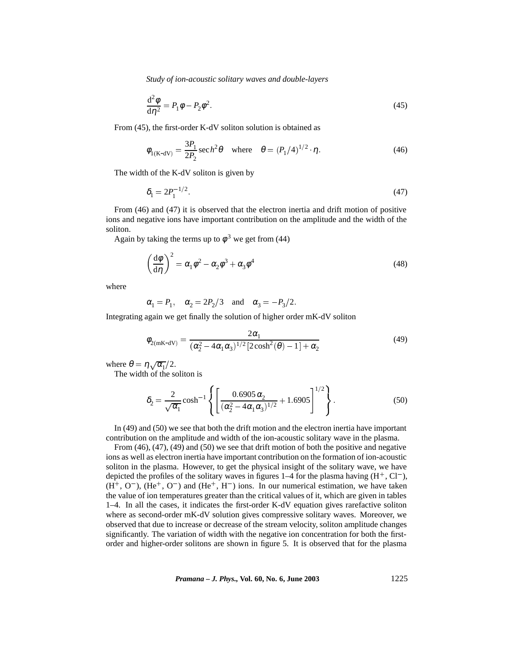$$
\frac{\mathrm{d}^2 \phi}{\mathrm{d}\eta^2} = P_1 \phi - P_2 \phi^2. \tag{45}
$$

From (45), the first-order K-dV soliton solution is obtained as

$$
\phi_{1(K-dV)} = \frac{3P_1}{2P_2} \sec h^2 \theta \quad \text{where} \quad \theta = (P_1/4)^{1/2} \cdot \eta. \tag{46}
$$

The width of the K-dV soliton is given by

$$
\delta_1 = 2P_1^{-1/2}.\tag{47}
$$

From (46) and (47) it is observed that the electron inertia and drift motion of positive ions and negative ions have important contribution on the amplitude and the width of the soliton.

Again by taking the terms up to  $\phi^3$  we get from (44)

$$
\left(\frac{\mathrm{d}\phi}{\mathrm{d}\eta}\right)^2 = \alpha_1\phi^2 - \alpha_2\phi^3 + \alpha_3\phi^4\tag{48}
$$

where

$$
\alpha_1 = P_1
$$
,  $\alpha_2 = 2P_2/3$  and  $\alpha_3 = -P_3/2$ .

Integrating again we get finally the solution of higher order mK-dV soliton

$$
\phi_{2(mK-dV)} = \frac{2\alpha_1}{(\alpha_2^2 - 4\alpha_1\alpha_3)^{1/2} \left[2\cosh^2(\theta) - 1\right] + \alpha_2} \tag{49}
$$

where  $\theta = \eta \sqrt{\alpha_1}/2$ .

The width of the soliton is

$$
\delta_2 = \frac{2}{\sqrt{\alpha_1}} \cosh^{-1} \left\{ \left[ \frac{0.6905 \,\alpha_2}{(\alpha_2^2 - 4\alpha_1 \alpha_3)^{1/2}} + 1.6905 \right]^{1/2} \right\}.
$$
 (50)

In (49) and (50) we see that both the drift motion and the electron inertia have important contribution on the amplitude and width of the ion-acoustic solitary wave in the plasma.

From (46), (47), (49) and (50) we see that drift motion of both the positive and negative ions as well as electron inertia have important contribution on the formation of ion-acoustic soliton in the plasma. However, to get the physical insight of the solitary wave, we have depicted the profiles of the solitary waves in figures  $1-4$  for the plasma having  $(H^+, Cl^-)$ ,  $(H<sup>+</sup>, O<sup>-</sup>)$ ,  $(He<sup>+</sup>, O<sup>-</sup>)$  and  $(He<sup>+</sup>, H<sup>-</sup>)$  ions. In our numerical estimation, we have taken the value of ion temperatures greater than the critical values of it, which are given in tables 1–4. In all the cases, it indicates the first-order K-dV equation gives rarefactive soliton where as second-order mK-dV solution gives compressive solitary waves. Moreover, we observed that due to increase or decrease of the stream velocity, soliton amplitude changes significantly. The variation of width with the negative ion concentration for both the firstorder and higher-order solitons are shown in figure 5. It is observed that for the plasma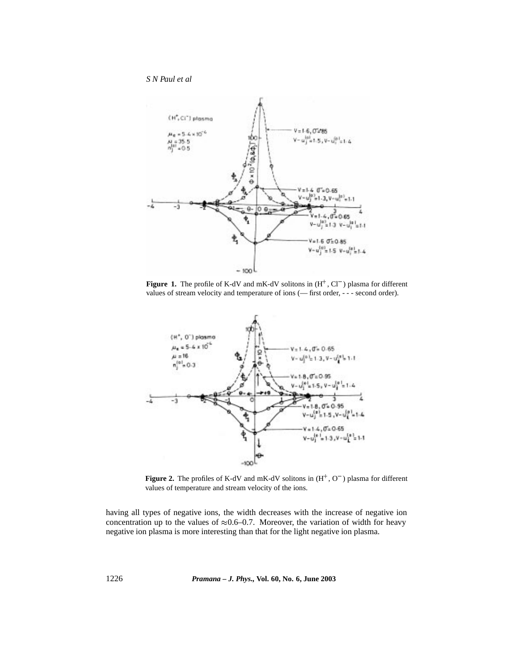

**Figure 1.** The profile of K-dV and mK-dV solitons in  $(H^+, Cl^-)$  plasma for different values of stream velocity and temperature of ions (— first order, - - - second order).



**Figure 2.** The profiles of K-dV and mK-dV solitons in  $(H^+, O^-)$  plasma for different values of temperature and stream velocity of the ions.

having all types of negative ions, the width decreases with the increase of negative ion concentration up to the values of  $\approx 0.6$ –0.7. Moreover, the variation of width for heavy negative ion plasma is more interesting than that for the light negative ion plasma.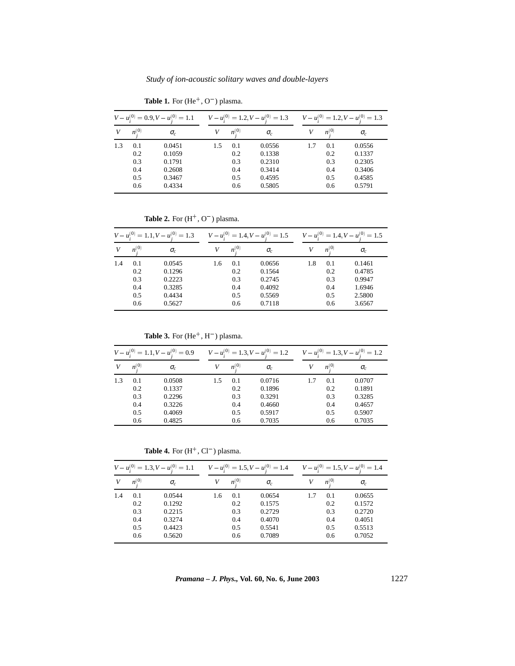| $V - u_i^{(0)} = 0.9, V - u_i^{(0)} = 1.1$ |           |            | $V - u_i^{(0)} = 1.2, V - u_i^{(0)} = 1.3$ $V - u_i^{(0)} = 1.2, V - u_i^{(0)} = 1.3$ |           |            |     |           |            |
|--------------------------------------------|-----------|------------|---------------------------------------------------------------------------------------|-----------|------------|-----|-----------|------------|
| V                                          | $n^{(0)}$ | $\sigma_c$ |                                                                                       | $n^{(0)}$ | $\sigma_c$ |     | $n^{(0)}$ | $\sigma_c$ |
| 1.3                                        | 0.1       | 0.0451     | 1.5                                                                                   | 0.1       | 0.0556     | 1.7 | 0.1       | 0.0556     |
|                                            | 0.2       | 0.1059     |                                                                                       | 0.2       | 0.1338     |     | 0.2       | 0.1337     |
|                                            | 0.3       | 0.1791     |                                                                                       | 0.3       | 0.2310     |     | 0.3       | 0.2305     |
|                                            | 0.4       | 0.2608     |                                                                                       | 0.4       | 0.3414     |     | 0.4       | 0.3406     |
|                                            | 0.5       | 0.3467     |                                                                                       | 0.5       | 0.4595     |     | 0.5       | 0.4585     |
|                                            | 0.6       | 0.4334     |                                                                                       | 0.6       | 0.5805     |     | 0.6       | 0.5791     |

**Table 1.** For  $(He^+, O^-)$  plasma.

**Table 2.** For  $(H^+, O^-)$  plasma.

| $V - u^{(0)} = 1.1, V - u^{(0)} = 1.3$ |           |            | $V - u_i^{(0)} = 1.4, V - u_i^{(0)} = 1.5$ $V - u_i^{(0)} = 1.4, V - u_i^{(0)} = 1.5$ |           |            |     |           |            |
|----------------------------------------|-----------|------------|---------------------------------------------------------------------------------------|-----------|------------|-----|-----------|------------|
| V                                      | $n^{(0)}$ | $\sigma_c$ | V                                                                                     | $n^{(0)}$ | $\sigma_c$ |     | $n^{(0)}$ | $\sigma_c$ |
| 1.4                                    | 0.1       | 0.0545     | 1.6                                                                                   | 0.1       | 0.0656     | 1.8 | 0.1       | 0.1461     |
|                                        | 0.2       | 0.1296     |                                                                                       | 0.2       | 0.1564     |     | 0.2       | 0.4785     |
|                                        | 0.3       | 0.2223     |                                                                                       | 0.3       | 0.2745     |     | 0.3       | 0.9947     |
|                                        | 0.4       | 0.3285     |                                                                                       | 0.4       | 0.4092     |     | 0.4       | 1.6946     |
|                                        | 0.5       | 0.4434     |                                                                                       | 0.5       | 0.5569     |     | 0.5       | 2.5800     |
|                                        | 0.6       | 0.5627     |                                                                                       | 0.6       | 0.7118     |     | 0.6       | 3.6567     |

**Table 3.** For  $(He^+, H^-)$  plasma.

| $V - u^{(0)} = 1.1, V - u^{(0)} = 0.9$ |           |            |     |           |            | $V - u^{(0)} = 1.3, V - u^{(0)} = 1.2$ $V - u^{(0)} = 1.3, V - u^{(0)} = 1.2$ |           |            |
|----------------------------------------|-----------|------------|-----|-----------|------------|-------------------------------------------------------------------------------|-----------|------------|
| V                                      | $n^{(0)}$ | $\sigma_c$ |     | $n^{(0)}$ | $\sigma_c$ |                                                                               | $n^{(0)}$ | $\sigma_c$ |
| 1.3                                    | 0.1       | 0.0508     | 1.5 | 0.1       | 0.0716     | 1.7                                                                           | 0.1       | 0.0707     |
|                                        | 0.2       | 0.1337     |     | 0.2       | 0.1896     |                                                                               | 0.2       | 0.1891     |
|                                        | 0.3       | 0.2296     |     | 0.3       | 0.3291     |                                                                               | 0.3       | 0.3285     |
|                                        | 0.4       | 0.3226     |     | 0.4       | 0.4660     |                                                                               | 0.4       | 0.4657     |
|                                        | 0.5       | 0.4069     |     | 0.5       | 0.5917     |                                                                               | 0.5       | 0.5907     |
|                                        | 0.6       | 0.4825     |     | 0.6       | 0.7035     |                                                                               | 0.6       | 0.7035     |

**Table 4.** For  $(H^+, Cl^-)$  plasma.

| $V - u^{(0)} = 1.3, V - u^{(0)} = 1.1$ |           |            | $V - u_i^{(0)} = 1.5, V - u_i^{(0)} = 1.4$ |           |            | $V - u_i^{(0)} = 1.5, V - u_i^{(0)} = 1.4$ |           |            |
|----------------------------------------|-----------|------------|--------------------------------------------|-----------|------------|--------------------------------------------|-----------|------------|
| V                                      | $n^{(0)}$ | $\sigma_c$ | V                                          | $n^{(0)}$ | $\sigma_c$ |                                            | $n^{(0)}$ | $\sigma_c$ |
| 1.4                                    | 0.1       | 0.0544     | 1.6                                        | 0.1       | 0.0654     | 1.7                                        | 0.1       | 0.0655     |
|                                        | 0.2       | 0.1292     |                                            | 0.2       | 0.1575     |                                            | 0.2       | 0.1572     |
|                                        | 0.3       | 0.2215     |                                            | 0.3       | 0.2729     |                                            | 0.3       | 0.2720     |
|                                        | 0.4       | 0.3274     |                                            | 0.4       | 0.4070     |                                            | 0.4       | 0.4051     |
|                                        | 0.5       | 0.4423     |                                            | 0.5       | 0.5541     |                                            | 0.5       | 0.5513     |
|                                        | 0.6       | 0.5620     |                                            | 0.6       | 0.7089     |                                            | 0.6       | 0.7052     |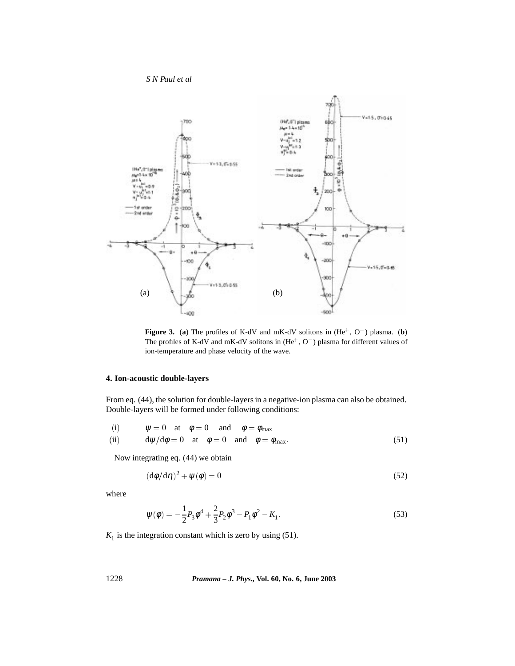

**Figure 3.** (a) The profiles of K-dV and mK-dV solitons in  $(He^+, O^-)$  plasma. (b) The profiles of K-dV and mK-dV solitons in  $(He<sup>+</sup>, O<sup>-</sup>)$  plasma for different values of ion-temperature and phase velocity of the wave.

## **4. Ion-acoustic double-layers**

From eq. (44), the solution for double-layers in a negative-ion plasma can also be obtained. Double-layers will be formed under following conditions:

(i) 
$$
\psi = 0
$$
 at  $\phi = 0$  and  $\phi = \phi_{\text{max}}$   
\n(ii)  $d\psi/d\phi = 0$  at  $\phi = 0$  and  $\phi = \phi_{\text{max}}$ . (51)

Now integrating eq. (44) we obtain

$$
(\mathrm{d}\phi/\mathrm{d}\eta)^2 + \psi(\phi) = 0\tag{52}
$$

where

$$
\psi(\phi) = -\frac{1}{2}P_3\phi^4 + \frac{2}{3}P_2\phi^3 - P_1\phi^2 - K_1.
$$
\n(53)

 $K_1$  is the integration constant which is zero by using (51).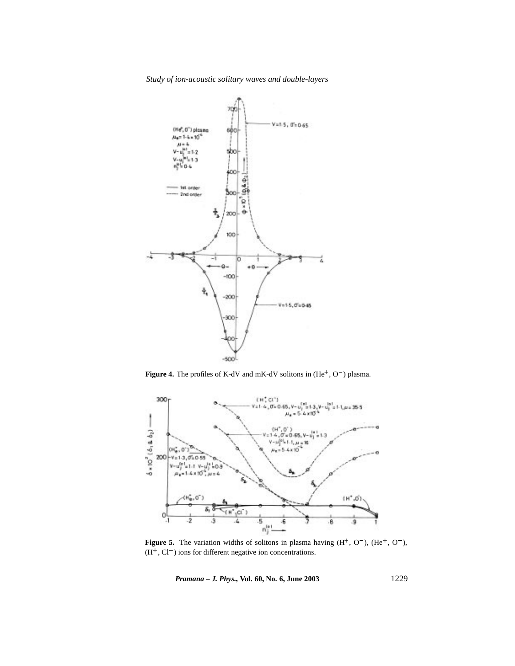

**Figure 4.** The profiles of K-dV and mK-dV solitons in  $(He^+, O^-)$  plasma.



**Figure 5.** The variation widths of solitons in plasma having  $(H^+, O^-)$ ,  $(He^+, O^-)$ ,  $(H^+, Cl^-)$  ions for different negative ion concentrations.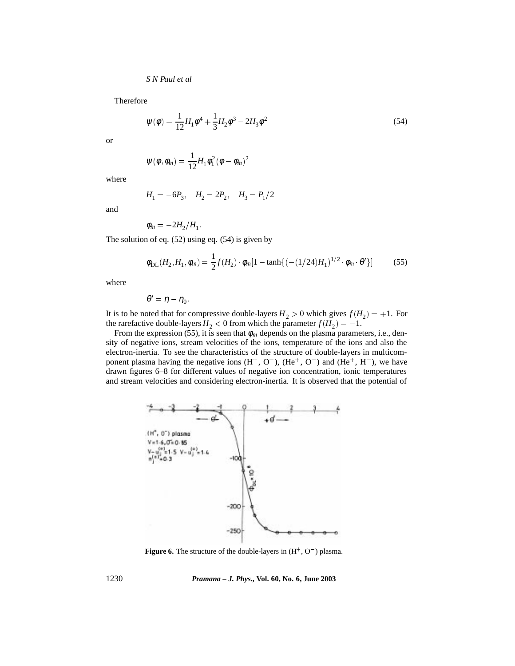Therefore

$$
\psi(\phi) = \frac{1}{12}H_1\phi^4 + \frac{1}{3}H_2\phi^3 - 2H_3\phi^2
$$
\n(54)

or

$$
\psi(\phi,\phi_m)=\frac{1}{12}H_1\phi_1^2(\phi-\phi_m)^2
$$

where

$$
H_1 = -6P_3, \quad H_2 = 2P_2, \quad H_3 = P_1/2
$$

and

$$
\phi_m = -2H_2/H_1
$$

The solution of eq. (52) using eq. (54) is given by

$$
\phi_{\text{DL}}(H_2, H_1, \phi_m) = \frac{1}{2} f(H_2) \cdot \phi_m [1 - \tanh\{(-(1/24)H_1)^{1/2} \cdot \phi_m \cdot \theta'\}]
$$
\n(55)

where

$$
\theta'=\eta-\eta^{}_{0}
$$

It is to be noted that for compressive double-layers  $H_2 > 0$  which gives  $f(H_2) = +1$ . For the rarefactive double-layers  $H_2 < 0$  from which the parameter  $f(H_2) = -1$ .

From the expression (55), it is seen that  $\phi_m$  depends on the plasma parameters, i.e., density of negative ions, stream velocities of the ions, temperature of the ions and also the electron-inertia. To see the characteristics of the structure of double-layers in multicomponent plasma having the negative ions  $(H^+, O^-)$ ,  $(He^+, O^-)$  and  $(He^+, H^-)$ , we have drawn figures 6–8 for different values of negative ion concentration, ionic temperatures and stream velocities and considering electron-inertia. It is observed that the potential of



**Figure 6.** The structure of the double-layers in  $(H^+, O^-)$  plasma.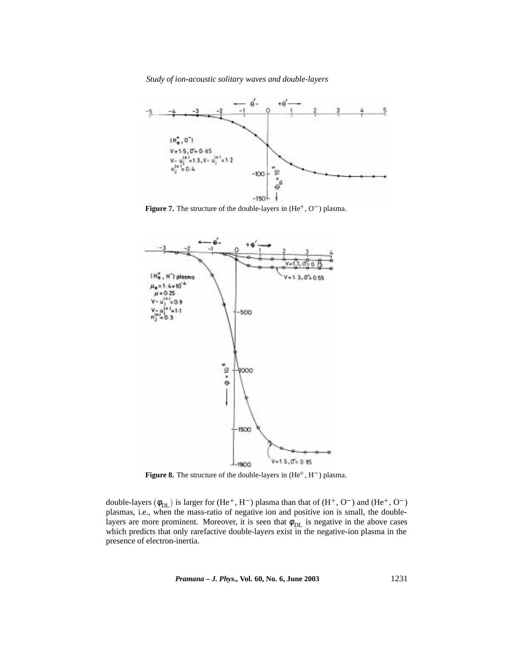

**Figure 7.** The structure of the double-layers in  $(He<sup>+</sup>, O<sup>-</sup>)$  plasma.



**Figure 8.** The structure of the double-layers in  $(He<sup>+</sup>, H<sup>-</sup>)$  plasma.

double-layers  $(\phi_{\text{DL}})$  is larger for (He<sup>+</sup>, H<sup>-</sup>) plasma than that of (H<sup>+</sup>, O<sup>-</sup>) and (He<sup>+</sup>, O<sup>-</sup>) plasmas, i.e., when the mass-ratio of negative ion and positive ion is small, the doublelayers are more prominent. Moreover, it is seen that  $\phi_{DL}$  is negative in the above cases which predicts that only rarefactive double-layers exist in the negative-ion plasma in the presence of electron-inertia.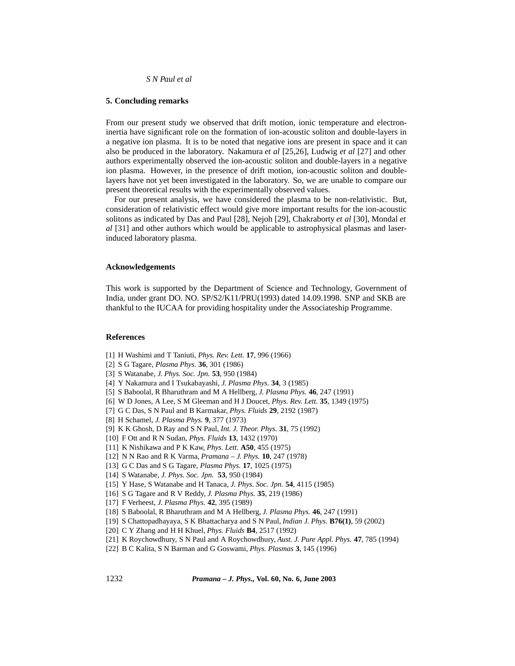#### **5. Concluding remarks**

From our present study we observed that drift motion, ionic temperature and electroninertia have significant role on the formation of ion-acoustic soliton and double-layers in a negative ion plasma. It is to be noted that negative ions are present in space and it can also be produced in the laboratory. Nakamura *et al* [25,26], Ludwig *et al* [27] and other authors experimentally observed the ion-acoustic soliton and double-layers in a negative ion plasma. However, in the presence of drift motion, ion-acoustic soliton and doublelayers have not yet been investigated in the laboratory. So, we are unable to compare our present theoretical results with the experimentally observed values.

For our present analysis, we have considered the plasma to be non-relativistic. But, consideration of relativistic effect would give more important results for the ion-acoustic solitons as indicated by Das and Paul [28], Nejoh [29], Chakraborty *et al* [30], Mondal *et al* [31] and other authors which would be applicable to astrophysical plasmas and laserinduced laboratory plasma.

#### **Acknowledgements**

This work is supported by the Department of Science and Technology, Government of India, under grant DO. NO. SP/S2/K11/PRU(1993) dated 14.09.1998. SNP and SKB are thankful to the IUCAA for providing hospitality under the Associateship Programme.

#### **References**

- [1] H Washimi and T Taniuti, *Phys. Rev. Lett.* **17**, 996 (1966)
- [2] S G Tagare, *Plasma Phys.* **36**, 301 (1986)
- [3] S Watanabe, *J. Phys. Soc. Jpn.* **53**, 950 (1984)
- [4] Y Nakamura and I Tsukabayashi, *J. Plasma Phys.* **34**, 3 (1985)
- [5] S Baboolal, R Bharuthram and M A Hellberg, *J. Plasma Phys.* **46**, 247 (1991)
- [6] W D Jones, A Lee, S M Gleeman and H J Doucet, *Phys. Rev. Lett.* **35**, 1349 (1975)
- [7] G C Das, S N Paul and B Karmakar, *Phys. Fluids* **29**, 2192 (1987)
- [8] H Schamel, *J. Plasma Phys.* **9**, 377 (1973)
- [9] K K Ghosh, D Ray and S N Paul, *Int. J. Theor. Phys.* **31**, 75 (1992)
- [10] F Ott and R N Sudan, *Phys. Fluids* **13**, 1432 (1970)
- [11] K Nishikawa and P K Kaw, *Phys. Lett.* **A50**, 455 (1975)
- [12] N N Rao and R K Varma, *Pramana J. Phys.* **10**, 247 (1978)
- [13] G C Das and S G Tagare, *Plasma Phys.* **17**, 1025 (1975)
- [14] S Watanabe, *J. Phys. Soc. Jpn.* **53**, 950 (1984)
- [15] Y Hase, S Watanabe and H Tanaca, *J. Phys. Soc. Jpn.* **54**, 4115 (1985)
- [16] S G Tagare and R V Reddy, *J. Plasma Phys.* **35**, 219 (1986)
- [17] F Verheest, *J. Plasma Phys.* **42**, 395 (1989)
- [18] S Baboolal, R Bharuthram and M A Hellberg, *J. Plasma Phys.* **46**, 247 (1991)
- [19] S Chattopadhayaya, S K Bhattacharya and S N Paul, *Indian J. Phys.* **B76(1)**, 59 (2002)
- [20] C Y Zhang and H H Khuel, *Phys. Fluids* **B4**, 2517 (1992)
- [21] K Roychowdhury, S N Paul and A Roychowdhury, *Aust. J. Pure Appl. Phys.* **47**, 785 (1994)
- [22] B C Kalita, S N Barman and G Goswami, *Phys. Plasmas* **3**, 145 (1996)